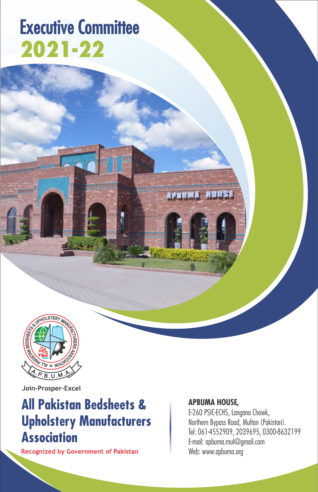# **Executive Committee 2021-22**



Join-Prosper-Excel

# **All Pakistan Bedsheets & Upholstery Manufacturers Association**

Recognized by Government of Pakistan

## APBUMA HOUSE,

E-260 PSIC-ECHS, Langana Chowk, Northern Bypass Road, Multan (Pakistan). Tel: 061-4552909, 2039695, 0300-8632199 E-mail: apbuma.mul@gmail.com Web: www.apbuma.org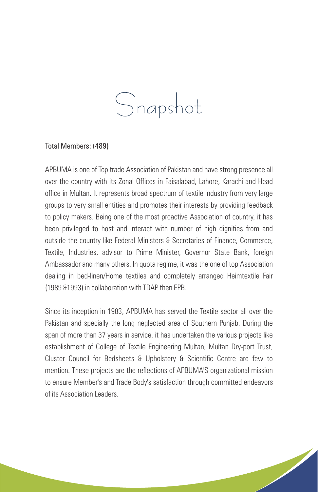# Snapshot

### Total Members: (489)

APBUMA is one of Top trade Association of Pakistan and have strong presence all over the country with its Zonal Offices in Faisalabad, Lahore, Karachi and Head office in Multan. It represents broad spectrum of textile industry from very large groups to very small entities and promotes their interests by providing feedback to policy makers. Being one of the most proactive Association of country, it has been privileged to host and interact with number of high dignities from and outside the country like Federal Ministers & Secretaries of Finance, Commerce, Textile, Industries, advisor to Prime Minister, Governor State Bank, foreign Ambassador and many others. In quota regime, it was the one of top Association dealing in bed-linen/Home textiles and completely arranged Heimtextile Fair (1989 &1993) in collaboration with TDAP then EPB.

Since its inception in 1983, APBUMA has served the Textile sector all over the Pakistan and specially the long neglected area of Southern Punjab. During the span of more than 37 years in service, it has undertaken the various projects like establishment of College of Textile Engineering Multan, Multan Dry-port Trust, Cluster Council for Bedsheets & Upholstery & Scientific Centre are few to mention. These projects are the reflections of APBUMA'S organizational mission to ensure Member's and Trade Body's satisfaction through committed endeavors of its Association Leaders.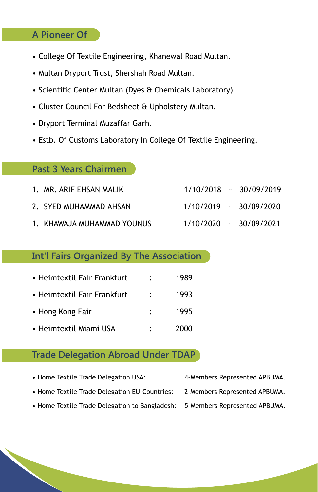# **A Pioneer Of**

- College Of Textile Engineering, Khanewal Road Multan.
- Multan Dryport Trust, Shershah Road Multan.
- Scientific Center Multan (Dyes & Chemicals Laboratory)
- Cluster Council For Bedsheet & Upholstery Multan.
- Dryport Terminal Muzaffar Garh.
- Estb. Of Customs Laboratory In College Of Textile Engineering.

# **Past 3 Years Chairmen**

| 1. MR. ARIF EHSAN MALIK    |  | $1/10/2018 \sim 30/09/2019$ |
|----------------------------|--|-----------------------------|
| 2. SYED MUHAMMAD AHSAN     |  | $1/10/2019$ ~ $30/09/2020$  |
| 1. KHAWAJA MUHAMMAD YOUNUS |  | $1/10/2020$ ~ $30/09/2021$  |

# **Int'l Fairs Organized By The Association**

| • Heimtextil Fair Frankfurt | ٠                    | 1989 |
|-----------------------------|----------------------|------|
| • Heimtextil Fair Frankfurt | $\ddot{\phantom{0}}$ | 1993 |
| • Hong Kong Fair            |                      | 1995 |
| • Heimtextil Miami USA      |                      | 2000 |

# **Trade Delegation Abroad Under TDAP**

- Home Textile Trade Delegation USA: 4-Members Represented APBUMA. • Home Textile Trade Delegation EU-Countries: 2-Members Represented APBUMA.
	-
- 
- Home Textile Trade Delegation to Bangladesh: 5-Members Represented APBUMA.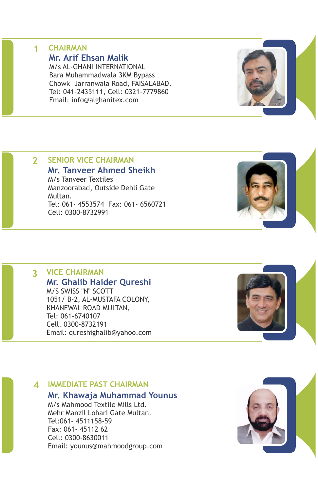#### **1 CHAIRMAN Mr. Arif Ehsan Malik**

M/s AL-GHANI INTERNATIONAL Bara Muhammadwala 3KM Bypass Chowk Jarranwala Road, FAISALABAD. Tel: 041-2435111, Cell: 0321-7779860 Email: info@alghanitex.com

# **2 SENIOR VICE CHAIRMAN**

**Mr. Tanveer Ahmed Sheikh** M/s Tanveer Textiles Manzoorabad, Outside Dehli Gate Multan. Tel: 061- 4553574 Fax: 061- 6560721 Cell: 0300-8732991

# **3 VICE CHAIRMAN**

**Mr. Ghalib Haider Qureshi** M/S SWISS "N" SCOTT 1051/ B-2, AL-MUSTAFA COLONY, KHANEWAL ROAD MULTAN, Tel: 061-6740107 Cell. 0300-8732191 Email: qureshighalib@yahoo.com

# **4 IMMEDIATE PAST CHAIRMAN**

#### **Mr. Khawaja Muhammad Younus**

M/s Mahmood Textile Mills Ltd. Mehr Manzil Lohari Gate Multan. Tel:061- 4511158-59 Fax: 061- 45112 62 Cell: 0300-8630011 Email: younus@mahmoodgroup.com







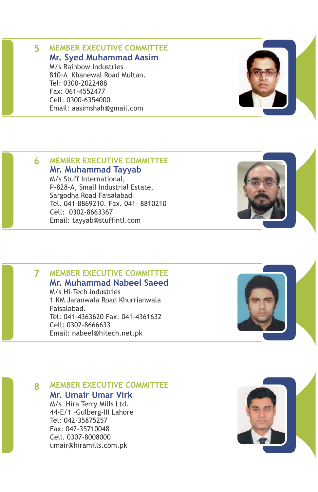### **5 MEMBER EXECUTIVE COMMITTEE Mr. Syed Muhammad Aasim**

M/s Rainbow Industries 810–A Khanewal Road Multan. Tel: 0300-2022488 Fax: 061-4552477 Cell: 0300-6354000 Email: aasimshah@gmail.com

# **6 MEMBER EXECUTIVE COMMITTEE**

### **Mr. Muhammad Tayyab**

M/s Stuff International, P-828-A, Small Industrial Estate, Sargodha Road Faisalabad Tel. 041-8869210, Fax. 041- 8810210 Cell: 0302-8663367 Email: tayyab@stuffintl.com

#### **7 MEMBER EXECUTIVE COMMITTEE Mr. Muhammad Nabeel Saeed**

M/s Hi-Tech industries 1 KM Jaranwala Road Khurrianwala Faisalabad. Tel: 041-4363620 Fax: 041-4361632 Cell: 0302-8666633 Email: nabeel@hitech.net.pk

**8 MEMBER EXECUTIVE COMMITTEE Mr. Umair Umar Virk** M/s Hira Terry Mills Ltd. 44-E/1 –Gulberg-III Lahore Tel: 042-35875257 Fax: 042-35710048 Cell. 0307-8008000

umair@hiramills.com.pk







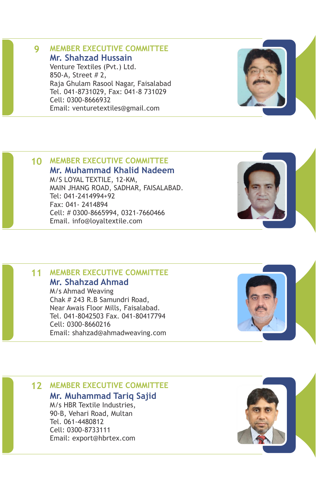# **Mr. Shahzad Hussain**

Venture Textiles (Pvt.) Ltd. 850-A, Street # 2, Raja Ghulam Rasool Nagar, Faisalabad Tel. 041-8731029, Fax: 041-8 731029 Cell: 0300-8666932 Email: venturetextiles@gmail.com

# **10 MEMBER EXECUTIVE COMMITTEE**

**Mr. Muhammad Khalid Nadeem** M/S LOYAL TEXTILE, 12-KM, MAIN JHANG ROAD, SADHAR, FAISALABAD. Tel: 041-2414994+92 Fax: 041- 2414894 Cell: # 0300-8665994, 0321-7660466 Email. info@loyaltextile.com

#### **11 MEMBER EXECUTIVE COMMITTEE Mr. Shahzad Ahmad**

M/s Ahmad Weaving Chak # 243 R.B Samundri Road, Near Awais Floor Mills, Faisalabad. Tel. 041-8042503 Fax. 041-80417794 Cell: 0300-8660216 Email: shahzad@ahmadweaving.com

# **12 MEMBER EXECUTIVE COMMITTEE**

**Mr. Muhammad Tariq Sajid**

M/s HBR Textile Industries, 90-B, Vehari Road, Multan Tel. 061-4480812 Cell: 0300-8733111 Email: export@hbrtex.com









# **9 MEMBER EXECUTIVE COMMITTEE**

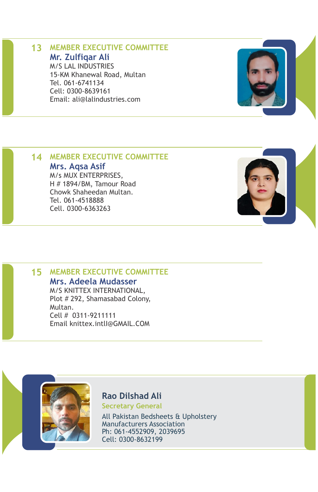# **13 MEMBER EXECUTIVE COMMITTEE Mr. Zulfiqar Ali**

M/S LAL INDUSTRIES 15-KM Khanewal Road, Multan Tel. 061-6741134 Cell: 0300-8639161 Email: ali@lalindustries.com



### **14 MEMBER EXECUTIVE COMMITTEE**

### **Mrs. Aqsa Asif**

M/s MUX ENTERPRISES, H # 1894/BM, Tamour Road Chowk Shaheedan Multan. Tel. 061-4518888 Cell. 0300-6363263

# **15 MEMBER EXECUTIVE COMMITTEE**

# **Mrs. Adeela Mudasser**

M/S KNITTEX INTERNATIONAL, Plot # 292, Shamasabad Colony, Multan. Cell # 0311-9211111 Email knittex.intlI@GMAIL.COM



**Rao Dilshad Ali Secretary General**

All Pakistan Bedsheets & Upholstery Manufacturers Association Ph: 061-4552909, 2039695 Cell: 0300-8632199